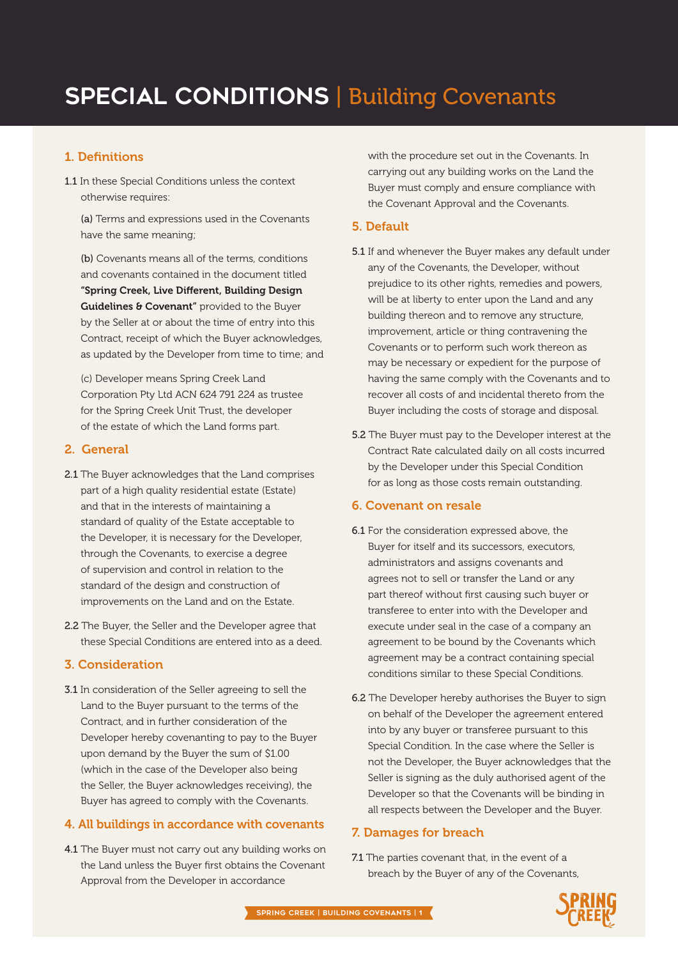# **SPECIAL CONDITIONS | Building Covenants**

# 1. Definitions

1.1 In these Special Conditions unless the context otherwise requires:

(a) Terms and expressions used in the Covenants have the same meaning;

(b) Covenants means all of the terms, conditions and covenants contained in the document titled "Spring Creek, Live Different, Building Design Guidelines & Covenant" provided to the Buyer by the Seller at or about the time of entry into this Contract, receipt of which the Buyer acknowledges, as updated by the Developer from time to time; and

(c) Developer means Spring Creek Land Corporation Pty Ltd ACN 624 791 224 as trustee for the Spring Creek Unit Trust, the developer of the estate of which the Land forms part.

## 2. General

- 2.1 The Buyer acknowledges that the Land comprises part of a high quality residential estate (Estate) and that in the interests of maintaining a standard of quality of the Estate acceptable to the Developer, it is necessary for the Developer, through the Covenants, to exercise a degree of supervision and control in relation to the standard of the design and construction of improvements on the Land and on the Estate.
- 2.2 The Buyer, the Seller and the Developer agree that these Special Conditions are entered into as a deed.

## 3. Consideration

3.1 In consideration of the Seller agreeing to sell the Land to the Buyer pursuant to the terms of the Contract, and in further consideration of the Developer hereby covenanting to pay to the Buyer upon demand by the Buyer the sum of \$1.00 (which in the case of the Developer also being the Seller, the Buyer acknowledges receiving), the Buyer has agreed to comply with the Covenants.

#### 4. All buildings in accordance with covenants

4.1 The Buyer must not carry out any building works on the Land unless the Buyer first obtains the Covenant Approval from the Developer in accordance

with the procedure set out in the Covenants. In carrying out any building works on the Land the Buyer must comply and ensure compliance with the Covenant Approval and the Covenants.

#### 5. Default

- 5.1 If and whenever the Buyer makes any default under any of the Covenants, the Developer, without prejudice to its other rights, remedies and powers, will be at liberty to enter upon the Land and any building thereon and to remove any structure, improvement, article or thing contravening the Covenants or to perform such work thereon as may be necessary or expedient for the purpose of having the same comply with the Covenants and to recover all costs of and incidental thereto from the Buyer including the costs of storage and disposal.
- 5.2 The Buyer must pay to the Developer interest at the Contract Rate calculated daily on all costs incurred by the Developer under this Special Condition for as long as those costs remain outstanding.

#### 6. Covenant on resale

- 6.1 For the consideration expressed above, the Buyer for itself and its successors, executors, administrators and assigns covenants and agrees not to sell or transfer the Land or any part thereof without first causing such buyer or transferee to enter into with the Developer and execute under seal in the case of a company an agreement to be bound by the Covenants which agreement may be a contract containing special conditions similar to these Special Conditions.
- 6.2 The Developer hereby authorises the Buyer to sign on behalf of the Developer the agreement entered into by any buyer or transferee pursuant to this Special Condition. In the case where the Seller is not the Developer, the Buyer acknowledges that the Seller is signing as the duly authorised agent of the Developer so that the Covenants will be binding in all respects between the Developer and the Buyer.

## 7. Damages for breach

*Master Planned Residential Community — Page 1* breach by the Buyer of any of the Covenants, 7.1 The parties covenant that, in the event of a